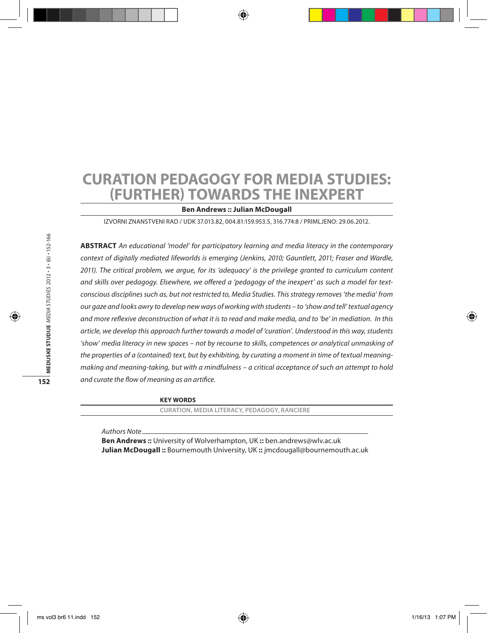# **Curation Pedagogy for Media Studies: (Further) Towards the Inexpert**

#### **Ben Andrews :: Julian McDougall**

Izvorni znanstveni rad / UDK 37.013.82, 004.81:159.953.5, 316.774:8 / Primljeno: 29.06.2012.

**Abstract** *An educational 'model' for participatory learning and media literacy in the contemporary context of digitally mediated lifeworlds is emerging (Jenkins, 2010; Gauntlett, 2011; Fraser and Wardle, 2011). The critical problem, we argue, for its 'adequacy' is the privilege granted to curriculum content and skills over pedagogy. Elsewhere, we offered a 'pedagogy of the inexpert' as such a model for textconscious disciplines such as, but not restricted to, Media Studies. This strategy removes 'the media' from our gaze and looks awry to develop new ways of working with students – to 'show and tell' textual agency and more reflexive deconstruction of what it is to read and make media, and to 'be' in mediation. In this article, we develop this approach further towards a model of 'curation'. Understood in this way, students 'show' media literacy in new spaces – not by recourse to skills, competences or analytical unmasking of the properties of a (contained) text, but by exhibiting, by curating a moment in time of textual meaningmaking and meaning-taking, but with a mindfulness – a critical acceptance of such an attempt to hold and curate the flow of meaning as an artifice.*

**Key words**

**curation, media literacy, pedagogy, Ranciere**

*Authors Note*

**Ben Andrews ::** University of Wolverhampton, UK **::** ben.andrews@wlv.ac.uk **Julian McDougall ::** Bournemouth University, UK **::** jmcdougall@bournemouth.ac.uk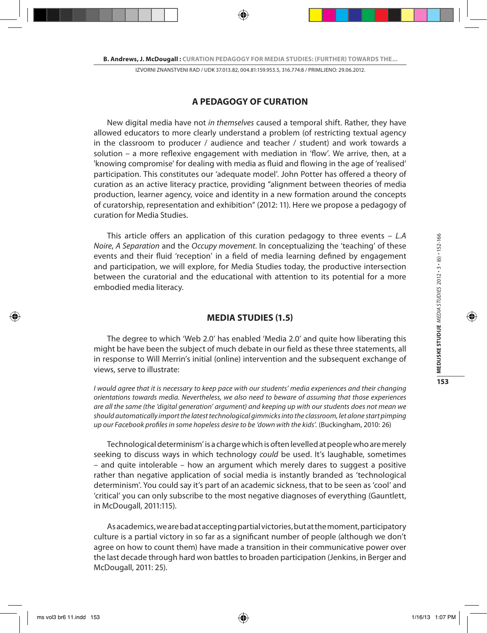## **A PEDAGOGY OF CURATION**

New digital media have not *in themselves* caused a temporal shift. Rather, they have allowed educators to more clearly understand a problem (of restricting textual agency in the classroom to producer / audience and teacher / student) and work towards a solution – a more reflexive engagement with mediation in 'flow'. We arrive, then, at a 'knowing compromise' for dealing with media as fluid and flowing in the age of 'realised' participation. This constitutes our 'adequate model'. John Potter has offered a theory of curation as an active literacy practice, providing "alignment between theories of media production, learner agency, voice and identity in a new formation around the concepts of curatorship, representation and exhibition" (2012: 11). Here we propose a pedagogy of curation for Media Studies.

This article offers an application of this curation pedagogy to three events – *L.A Noire*, *A Separation* and the *Occupy movement*. In conceptualizing the 'teaching' of these events and their fluid 'reception' in a field of media learning defined by engagement and participation, we will explore, for Media Studies today, the productive intersection between the curatorial and the educational with attention to its potential for a more embodied media literacy.

## **MEDIA STUDIES (1.5)**

The degree to which 'Web 2.0' has enabled 'Media 2.0' and quite how liberating this might be have been the subject of much debate in our field as these three statements, all in response to Will Merrin's initial (online) intervention and the subsequent exchange of views, serve to illustrate:

*I would agree that it is necessary to keep pace with our students' media experiences and their changing orientations towards media. Nevertheless, we also need to beware of assuming that those experiences are all the same (the 'digital generation' argument) and keeping up with our students does not mean we should automatically import the latest technological gimmicks into the classroom, let alone start pimping up our Facebook profiles in some hopeless desire to be 'down with the kids'.* (Buckingham, 2010: 26)

Technological determinism' is a charge which is often levelled at people who are merely seeking to discuss ways in which technology *could* be used. It's laughable, sometimes – and quite intolerable – how an argument which merely dares to suggest a positive rather than negative application of social media is instantly branded as 'technological determinism'. You could say it's part of an academic sickness, that to be seen as 'cool' and 'critical' you can only subscribe to the most negative diagnoses of everything (Gauntlett, in McDougall, 2011:115).

As academics, we are bad at accepting partial victories, but at the moment, participatory culture is a partial victory in so far as a significant number of people (although we don't agree on how to count them) have made a transition in their communicative power over the last decade through hard won battles to broaden participation (Jenkins, in Berger and McDougall, 2011: 25).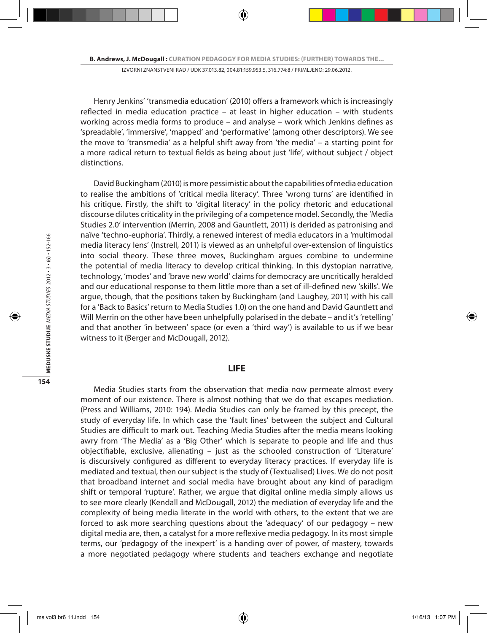Henry Jenkins' 'transmedia education' (2010) offers a framework which is increasingly reflected in media education practice – at least in higher education – with students working across media forms to produce – and analyse – work which Jenkins defines as 'spreadable', 'immersive', 'mapped' and 'performative' (among other descriptors). We see the move to 'transmedia' as a helpful shift away from 'the media' – a starting point for a more radical return to textual fields as being about just 'life', without subject / object distinctions.

David Buckingham (2010) is more pessimistic about the capabilities of media education to realise the ambitions of 'critical media literacy'. Three 'wrong turns' are identified in his critique. Firstly, the shift to 'digital literacy' in the policy rhetoric and educational discourse dilutes criticality in the privileging of a competence model. Secondly, the 'Media Studies 2.0' intervention (Merrin, 2008 and Gauntlett, 2011) is derided as patronising and naïve 'techno-euphoria'. Thirdly, a renewed interest of media educators in a 'multimodal media literacy lens' (Instrell, 2011) is viewed as an unhelpful over-extension of linguistics into social theory. These three moves, Buckingham argues combine to undermine the potential of media literacy to develop critical thinking. In this dystopian narrative, technology, 'modes' and 'brave new world' claims for democracy are uncritically heralded and our educational response to them little more than a set of ill-defined new 'skills'. We argue, though, that the positions taken by Buckingham (and Laughey, 2011) with his call for a 'Back to Basics' return to Media Studies 1.0) on the one hand and David Gauntlett and Will Merrin on the other have been unhelpfully polarised in the debate – and it's 'retelling' and that another 'in between' space (or even a 'third way') is available to us if we bear witness to it (Berger and McDougall, 2012).

### **LIFE**

Media Studies starts from the observation that media now permeate almost every moment of our existence. There is almost nothing that we do that escapes mediation. (Press and Williams, 2010: 194). Media Studies can only be framed by this precept, the study of everyday life. In which case the 'fault lines' between the subject and Cultural Studies are difficult to mark out. Teaching Media Studies after the media means looking awry from 'The Media' as a 'Big Other' which is separate to people and life and thus objectifiable, exclusive, alienating – just as the schooled construction of 'Literature' is discursively configured as different to everyday literacy practices. If everyday life is mediated and textual, then our subject is the study of (Textualised) Lives. We do not posit that broadband internet and social media have brought about any kind of paradigm shift or temporal 'rupture'. Rather, we argue that digital online media simply allows us to see more clearly (Kendall and McDougall, 2012) the mediation of everyday life and the complexity of being media literate in the world with others, to the extent that we are forced to ask more searching questions about the 'adequacy' of our pedagogy – new digital media are, then, a catalyst for a more reflexive media pedagogy. In its most simple terms, our 'pedagogy of the inexpert' is a handing over of power, of mastery, towards a more negotiated pedagogy where students and teachers exchange and negotiate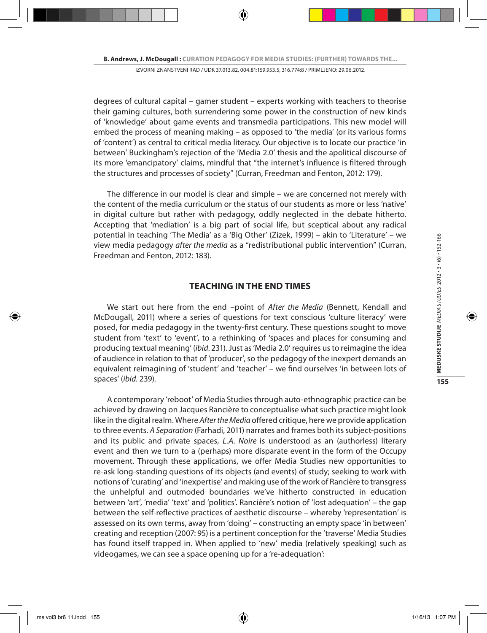degrees of cultural capital – gamer student – experts working with teachers to theorise their gaming cultures, both surrendering some power in the construction of new kinds of 'knowledge' about game events and transmedia participations. This new model will embed the process of meaning making – as opposed to 'the media' (or its various forms of 'content') as central to critical media literacy. Our objective is to locate our practice 'in between' Buckingham's rejection of the 'Media 2.0' thesis and the apolitical discourse of its more 'emancipatory' claims, mindful that "the internet's influence is filtered through the structures and processes of society" (Curran, Freedman and Fenton, 2012: 179).

The difference in our model is clear and simple – we are concerned not merely with the content of the media curriculum or the status of our students as more or less 'native' in digital culture but rather with pedagogy, oddly neglected in the debate hitherto. Accepting that 'mediation' is a big part of social life, but sceptical about any radical potential in teaching 'The Media' as a 'Big Other' (Zizek, 1999) – akin to 'Literature' – we view media pedagogy *after the media* as a "redistributional public intervention" (Curran, Freedman and Fenton, 2012: 183).

## **TEACHING IN THE END TIMES**

We start out here from the end –point of *After the Media* (Bennett, Kendall and McDougall, 2011) where a series of questions for text conscious 'culture literacy' were posed, for media pedagogy in the twenty-first century. These questions sought to move student from 'text' to 'event', to a rethinking of 'spaces and places for consuming and producing textual meaning' (*ibid*. 231). Just as 'Media 2.0' requires us to reimagine the idea of audience in relation to that of 'producer', so the pedagogy of the inexpert demands an equivalent reimagining of 'student' and 'teacher' – we find ourselves 'in between lots of spaces' (*ibid*. 239).

A contemporary 'reboot' of Media Studies through auto-ethnographic practice can be achieved by drawing on Jacques Rancière to conceptualise what such practice might look like in the digital realm. Where *After the Media* offered critique, here we provide application to three events. *A Separation* (Farhadi, 2011) narrates and frames both its subject-positions and its public and private spaces, *L.A. Noire* is understood as an (authorless) literary event and then we turn to a (perhaps) more disparate event in the form of the Occupy movement. Through these applications, we offer Media Studies new opportunities to re-ask long-standing questions of its objects (and events) of study; seeking to work with notions of 'curating' and 'inexpertise' and making use of the work of Rancière to transgress the unhelpful and outmoded boundaries we've hitherto constructed in education between 'art', 'media' 'text' and 'politics'. Rancière's notion of 'lost adequation' – the gap between the self-reflective practices of aesthetic discourse – whereby 'representation' is assessed on its own terms, away from 'doing' – constructing an empty space 'in between' creating and reception (2007: 95) is a pertinent conception for the 'traverse' Media Studies has found itself trapped in. When applied to 'new' media (relatively speaking) such as videogames, we can see a space opening up for a 're-adequation':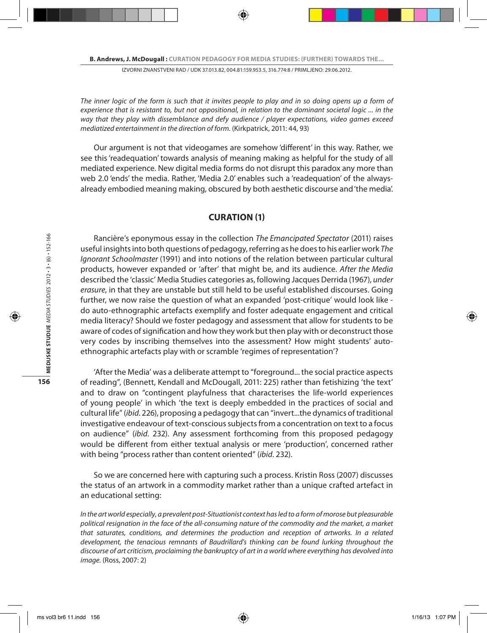*The inner logic of the form is such that it invites people to play and in so doing opens up a form of experience that is resistant to, but not oppositional, in relation to the dominant societal logic ... in the way that they play with dissemblance and defy audience / player expectations, video games exceed mediatized entertainment in the direction of form.* (Kirkpatrick, 2011: 44, 93)

Our argument is not that videogames are somehow 'different' in this way. Rather, we see this 'readequation' towards analysis of meaning making as helpful for the study of all mediated experience. New digital media forms do not disrupt this paradox any more than web 2.0 'ends' the media. Rather, 'Media 2.0' enables such a 'readequation' of the alwaysalready embodied meaning making, obscured by both aesthetic discourse and 'the media'.

## **CURATION (1)**

Rancière's eponymous essay in the collection *The Emancipated Spectator* (2011) raises useful insights into both questions of pedagogy, referring as he does to his earlier work *The Ignorant Schoolmaster* (1991) and into notions of the relation between particular cultural products, however expanded or 'after' that might be, and its audience. *After the Media* described the 'classic' Media Studies categories as, following Jacques Derrida (1967), *under erasure*, in that they are unstable but still held to be useful established discourses. Going further, we now raise the question of what an expanded 'post-critique' would look like do auto-ethnographic artefacts exemplify and foster adequate engagement and critical media literacy? Should we foster pedagogy and assessment that allow for students to be aware of codes of signification and how they work but then play with or deconstruct those very codes by inscribing themselves into the assessment? How might students' autoethnographic artefacts play with or scramble 'regimes of representation'?

'After the Media' was a deliberate attempt to "foreground... the social practice aspects of reading", (Bennett, Kendall and McDougall, 2011: 225) rather than fetishizing 'the text' and to draw on "contingent playfulness that characterises the life-world experiences of young people' in which 'the text is deeply embedded in the practices of social and cultural life" (*ibid*. 226), proposing a pedagogy that can "invert...the dynamics of traditional investigative endeavour of text-conscious subjects from a concentration on text to a focus on audience" (*ibid*. 232). Any assessment forthcoming from this proposed pedagogy would be different from either textual analysis or mere 'production', concerned rather with being "process rather than content oriented" (*ibid*. 232).

So we are concerned here with capturing such a process. Kristin Ross (2007) discusses the status of an artwork in a commodity market rather than a unique crafted artefact in an educational setting:

*In the art world especially, a prevalent post-Situationist context has led to a form of morose but pleasurable political resignation in the face of the all-consuming nature of the commodity and the market, a market that saturates, conditions, and determines the production and reception of artworks. In a related*  development, the tenacious remnants of Baudrillard's thinking can be found lurking throughout the *discourse of art criticism, proclaiming the bankruptcy of art in a world where everything has devolved into image.* (Ross, 2007: 2)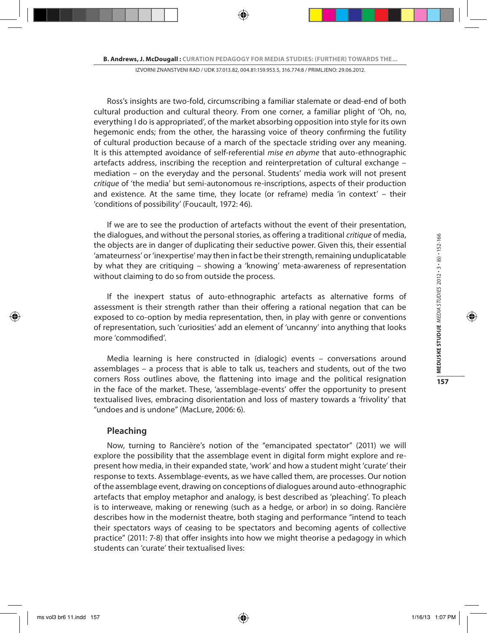Ross's insights are two-fold, circumscribing a familiar stalemate or dead-end of both cultural production and cultural theory. From one corner, a familiar plight of 'Oh, no, everything I do is appropriated', of the market absorbing opposition into style for its own hegemonic ends; from the other, the harassing voice of theory confirming the futility of cultural production because of a march of the spectacle striding over any meaning. It is this attempted avoidance of self-referential *mise en abyme* that auto-ethnographic artefacts address, inscribing the reception and reinterpretation of cultural exchange – mediation – on the everyday and the personal. Students' media work will not present *critique* of 'the media' but semi-autonomous re-inscriptions, aspects of their production and existence. At the same time, they locate (or reframe) media 'in context' – their 'conditions of possibility' (Foucault, 1972: 46).

If we are to see the production of artefacts without the event of their presentation, the dialogues, and without the personal stories, as offering a traditional *critique* of media, the objects are in danger of duplicating their seductive power. Given this, their essential 'amateurness' or 'inexpertise' may then in fact be their strength, remaining unduplicatable by what they are critiquing – showing a 'knowing' meta-awareness of representation without claiming to do so from outside the process.

If the inexpert status of auto-ethnographic artefacts as alternative forms of assessment is their strength rather than their offering a rational negation that can be exposed to co-option by media representation, then, in play with genre or conventions of representation, such 'curiosities' add an element of 'uncanny' into anything that looks more 'commodified'.

Media learning is here constructed in (dialogic) events – conversations around assemblages – a process that is able to talk us, teachers and students, out of the two corners Ross outlines above, the flattening into image and the political resignation in the face of the market. These, 'assemblage-events' offer the opportunity to present textualised lives, embracing disorientation and loss of mastery towards a 'frivolity' that "undoes and is undone" (MacLure, 2006: 6).

## **Pleaching**

Now, turning to Rancière's notion of the "emancipated spectator" (2011) we will explore the possibility that the assemblage event in digital form might explore and represent how media, in their expanded state, 'work' and how a student might 'curate' their response to texts. Assemblage-events, as we have called them, are processes. Our notion of the assemblage event, drawing on conceptions of dialogues around auto-ethnographic artefacts that employ metaphor and analogy, is best described as 'pleaching'. To pleach is to interweave, making or renewing (such as a hedge, or arbor) in so doing. Rancière describes how in the modernist theatre, both staging and performance "intend to teach their spectators ways of ceasing to be spectators and becoming agents of collective practice" (2011: 7-8) that offer insights into how we might theorise a pedagogy in which students can 'curate' their textualised lives: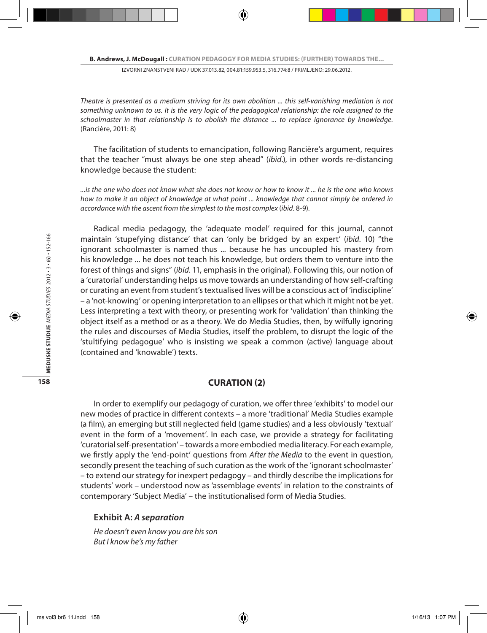*Theatre is presented as a medium striving for its own abolition ... this self-vanishing mediation is not something unknown to us. It is the very logic of the pedagogical relationship: the role assigned to the schoolmaster in that relationship is to abolish the distance ... to replace ignorance by knowledge.*  (Rancière, 2011: 8)

The facilitation of students to emancipation, following Rancière's argument, requires that the teacher "must always be one step ahead" (*ibid*.), in other words re-distancing knowledge because the student:

*...is the one who does not know what she does not know or how to know it ... he is the one who knows how to make it an object of knowledge at what point ... knowledge that cannot simply be ordered in accordance with the ascent from the simplest to the most complex* (*ibid*. 8-9).

Radical media pedagogy, the 'adequate model' required for this journal, cannot maintain 'stupefying distance' that can 'only be bridged by an expert' (*ibid*. 10) "the ignorant schoolmaster is named thus ... because he has uncoupled his mastery from his knowledge ... he does not teach his knowledge, but orders them to venture into the forest of things and signs" (*ibid*. 11, emphasis in the original). Following this, our notion of a 'curatorial' understanding helps us move towards an understanding of how self-crafting or curating an event from student's textualised lives will be a conscious act of 'indiscipline' – a 'not-knowing' or opening interpretation to an ellipses or that which it might not be yet. Less interpreting a text with theory, or presenting work for 'validation' than thinking the object itself as a method or as a theory. We do Media Studies, then, by wilfully ignoring the rules and discourses of Media Studies, itself the problem, to disrupt the logic of the 'stultifying pedagogue' who is insisting we speak a common (active) language about (contained and 'knowable') texts.

## **CURATION (2)**

In order to exemplify our pedagogy of curation, we offer three 'exhibits' to model our new modes of practice in different contexts – a more 'traditional' Media Studies example (a film), an emerging but still neglected field (game studies) and a less obviously 'textual' event in the form of a 'movement'. In each case, we provide a strategy for facilitating 'curatorial self-presentation' – towards a more embodied media literacy. For each example, we firstly apply the 'end-point' questions from *After the Media* to the event in question, secondly present the teaching of such curation as the work of the 'ignorant schoolmaster' – to extend our strategy for inexpert pedagogy – and thirdly describe the implications for students' work – understood now as 'assemblage events' in relation to the constraints of contemporary 'Subject Media' – the institutionalised form of Media Studies.

#### **Exhibit A:** *A separation*

*He doesn't even know you are his son But I know he's my father*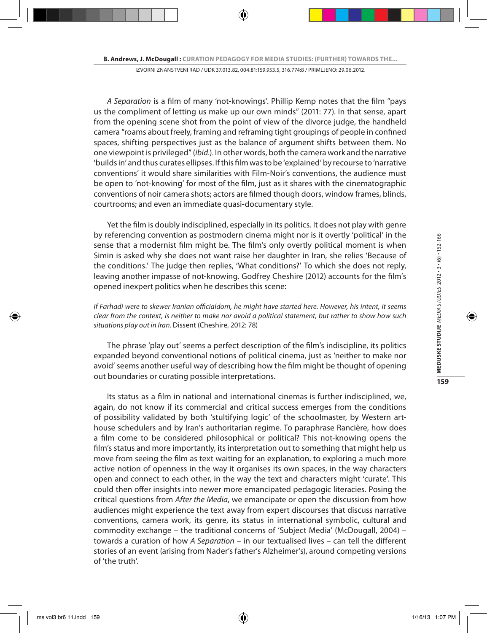*A Separation* is a film of many 'not-knowings'. Phillip Kemp notes that the film "pays us the compliment of letting us make up our own minds" (2011: 77). In that sense, apart from the opening scene shot from the point of view of the divorce judge, the handheld camera "roams about freely, framing and reframing tight groupings of people in confined spaces, shifting perspectives just as the balance of argument shifts between them. No one viewpoint is privileged" (*ibid*.). In other words, both the camera work and the narrative 'builds in' and thus curates ellipses. If this film was to be 'explained' by recourse to 'narrative conventions' it would share similarities with Film-Noir's conventions, the audience must be open to 'not-knowing' for most of the film, just as it shares with the cinematographic conventions of noir camera shots; actors are filmed though doors, window frames, blinds, courtrooms; and even an immediate quasi-documentary style.

Yet the film is doubly indisciplined, especially in its politics. It does not play with genre by referencing convention as postmodern cinema might nor is it overtly 'political' in the sense that a modernist film might be. The film's only overtly political moment is when Simin is asked why she does not want raise her daughter in Iran, she relies 'Because of the conditions.' The judge then replies, 'What conditions?' To which she does not reply, leaving another impasse of not-knowing. Godfrey Cheshire (2012) accounts for the film's opened inexpert politics when he describes this scene:

*If Farhadi were to skewer Iranian officialdom, he might have started here. However, his intent, it seems clear from the context, is neither to make nor avoid a political statement, but rather to show how such situations play out in Iran.* Dissent (Cheshire, 2012: 78)

The phrase 'play out' seems a perfect description of the film's indiscipline, its politics expanded beyond conventional notions of political cinema, just as 'neither to make nor avoid' seems another useful way of describing how the film might be thought of opening out boundaries or curating possible interpretations.

Its status as a film in national and international cinemas is further indisciplined, we, again, do not know if its commercial and critical success emerges from the conditions of possibility validated by both 'stultifying logic' of the schoolmaster, by Western arthouse schedulers and by Iran's authoritarian regime. To paraphrase Rancière, how does a film come to be considered philosophical or political? This not-knowing opens the film's status and more importantly, its interpretation out to something that might help us move from seeing the film as text waiting for an explanation, to exploring a much more active notion of openness in the way it organises its own spaces, in the way characters open and connect to each other, in the way the text and characters might 'curate'. This could then offer insights into newer more emancipated pedagogic literacies. Posing the critical questions from *After the Media*, we emancipate or open the discussion from how audiences might experience the text away from expert discourses that discuss narrative conventions, camera work, its genre, its status in international symbolic, cultural and commodity exchange – the traditional concerns of 'Subject Media' (McDougall, 2004) – towards a curation of how *A Separation* – in our textualised lives – can tell the different stories of an event (arising from Nader's father's Alzheimer's), around competing versions of 'the truth'.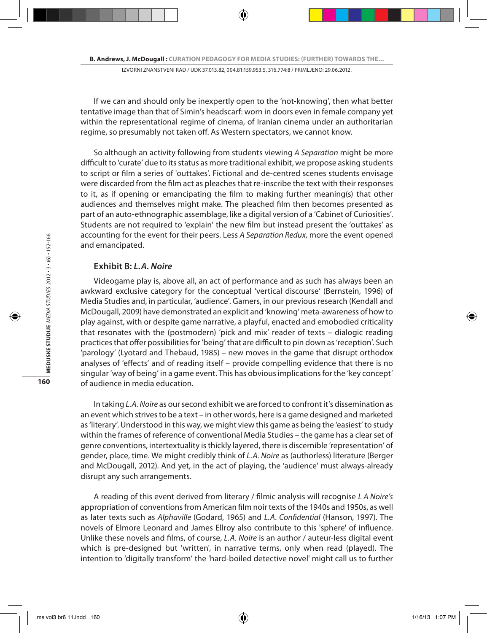If we can and should only be inexpertly open to the 'not-knowing', then what better tentative image than that of Simin's headscarf: worn in doors even in female company yet within the representational regime of cinema, of Iranian cinema under an authoritarian regime, so presumably not taken off. As Western spectators, we cannot know.

So although an activity following from students viewing *A Separation* might be more difficult to 'curate' due to its status as more traditional exhibit, we propose asking students to script or film a series of 'outtakes'. Fictional and de-centred scenes students envisage were discarded from the film act as pleaches that re-inscribe the text with their responses to it, as if opening or emancipating the film to making further meaning(s) that other audiences and themselves might make. The pleached film then becomes presented as part of an auto-ethnographic assemblage, like a digital version of a 'Cabinet of Curiosities'. Students are not required to 'explain' the new film but instead present the 'outtakes' as accounting for the event for their peers. Less *A Separation Redux,* more the event opened and emancipated.

## **Exhibit B:** *L.A. Noire*

Videogame play is, above all, an act of performance and as such has always been an awkward exclusive category for the conceptual 'vertical discourse' (Bernstein, 1996) of Media Studies and, in particular, 'audience'. Gamers, in our previous research (Kendall and McDougall, 2009) have demonstrated an explicit and 'knowing' meta-awareness of how to play against, with or despite game narrative, a playful, enacted and emobodied criticality that resonates with the (postmodern) 'pick and mix' reader of texts – dialogic reading practices that offer possibilities for 'being' that are difficult to pin down as 'reception'. Such 'parology' (Lyotard and Thebaud, 1985) – new moves in the game that disrupt orthodox analyses of 'effects' and of reading itself – provide compelling evidence that there is no singular 'way of being' in a game event. This has obvious implications for the 'key concept' of audience in media education.

In taking *L.A. Noire* as our second exhibit we are forced to confront it's dissemination as an event which strives to be a text – in other words, here is a game designed and marketed as 'literary'. Understood in this way, we might view this game as being the 'easiest' to study within the frames of reference of conventional Media Studies – the game has a clear set of genre conventions, intertextuality is thickly layered, there is discernible 'representation' of gender, place, time. We might credibly think of *L.A. Noire* as (authorless) literature (Berger and McDougall, 2012). And yet, in the act of playing, the 'audience' must always-already disrupt any such arrangements.

A reading of this event derived from literary / filmic analysis will recognise *L A Noire's* appropriation of conventions from American film noir texts of the 1940s and 1950s, as well as later texts such as *Alphaville* (Godard, 1965) and *L.A. Confidential* (Hanson, 1997). The novels of Elmore Leonard and James Ellroy also contribute to this 'sphere' of influence. Unlike these novels and films, of course, *L.A. Noire* is an author / auteur-less digital event which is pre-designed but 'written', in narrative terms, only when read (played). The intention to 'digitally transform' the 'hard-boiled detective novel' might call us to further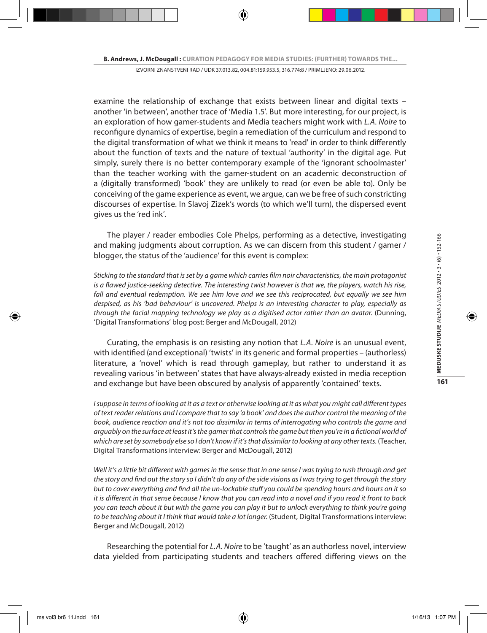examine the relationship of exchange that exists between linear and digital texts – another 'in between', another trace of 'Media 1.5'. But more interesting, for our project, is an exploration of how gamer-students and Media teachers might work with *L.A. Noire* to reconfigure dynamics of expertise, begin a remediation of the curriculum and respond to the digital transformation of what we think it means to 'read' in order to think differently about the function of texts and the nature of textual 'authority' in the digital age. Put simply, surely there is no better contemporary example of the 'ignorant schoolmaster' than the teacher working with the gamer-student on an academic deconstruction of a (digitally transformed) 'book' they are unlikely to read (or even be able to). Only be conceiving of the game experience as event, we argue, can we be free of such constricting discourses of expertise. In Slavoj Zizek's words (to which we'll turn), the dispersed event gives us the 'red ink'.

The player / reader embodies Cole Phelps, performing as a detective, investigating and making judgments about corruption. As we can discern from this student / gamer / blogger, the status of the 'audience' for this event is complex:

*Sticking to the standard that is set by a game which carries film noir characteristics, the main protagonist is a flawed justice-seeking detective. The interesting twist however is that we, the players, watch his rise,*  fall and eventual redemption. We see him love and we see this reciprocated, but equally we see him *despised, as his 'bad behaviour' is uncovered. Phelps is an interesting character to play, especially as through the facial mapping technology we play as a digitised actor rather than an avatar.* (Dunning, 'Digital Transformations' blog post: Berger and McDougall, 2012)

Curating, the emphasis is on resisting any notion that *L.A. Noire* is an unusual event, with identified (and exceptional) 'twists' in its generic and formal properties – (authorless) literature, a 'novel' which is read through gameplay, but rather to understand it as revealing various 'in between' states that have always-already existed in media reception and exchange but have been obscured by analysis of apparently 'contained' texts.

*I* suppose in terms of looking at it as a text or otherwise looking at it as what you might call different types *of text reader relations and I compare that to say 'a book' and does the author control the meaning of the book, audience reaction and it's not too dissimilar in terms of interrogating who controls the game and arguably on the surface at least it's the gamer that controls the game but then you're in a fictional world of which are set by somebody else so I don't know if it's that dissimilar to looking at any other texts.* (Teacher, Digital Transformations interview: Berger and McDougall, 2012)

*Well it's a little bit different with games in the sense that in one sense I was trying to rush through and get the story and find out the story so I didn't do any of the side visions as I was trying to get through the story but to cover everything and find all the un-lockable stuff you could be spending hours and hours on it so it is different in that sense because I know that you can read into a novel and if you read it front to back you can teach about it but with the game you can play it but to unlock everything to think you're going to be teaching about it I think that would take a lot longer.* (Student, Digital Transformations interview: Berger and McDougall, 2012)

Researching the potential for *L.A. Noire* to be 'taught' as an authorless novel, interview data yielded from participating students and teachers offered differing views on the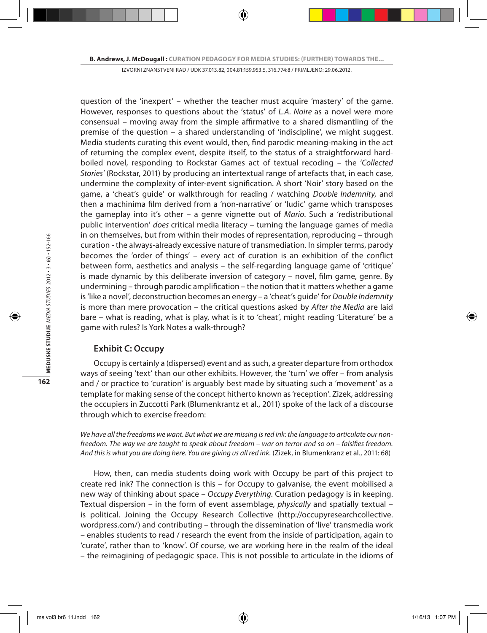question of the 'inexpert' – whether the teacher must acquire 'mastery' of the game. However, responses to questions about the 'status' of *L.A. Noire* as a novel were more consensual – moving away from the simple affirmative to a shared dismantling of the premise of the question – a shared understanding of 'indiscipline', we might suggest. Media students curating this event would, then, find parodic meaning-making in the act of returning the complex event, despite itself, to the status of a straightforward hardboiled novel, responding to Rockstar Games act of textual recoding – the '*Collected Stories'* (Rockstar, 2011) by producing an intertextual range of artefacts that, in each case, undermine the complexity of inter-event signification. A short 'Noir' story based on the game, a 'cheat's guide' or walkthrough for reading / watching *Double Indemnity*, and then a machinima film derived from a 'non-narrative' or 'ludic' game which transposes the gameplay into it's other – a genre vignette out of *Mario*. Such a 'redistributional public intervention' *does* critical media literacy – turning the language games of media in on themselves, but from within their modes of representation, reproducing – through curation - the always-already excessive nature of transmediation. In simpler terms, parody becomes the 'order of things' – every act of curation is an exhibition of the conflict between form, aesthetics and analysis – the self-regarding language game of 'critique' is made dynamic by this deliberate inversion of category – novel, film game, genre. By undermining – through parodic amplification – the notion that it matters whether a game is 'like a novel', deconstruction becomes an energy – a 'cheat's guide' for *Double Indemnity* is more than mere provocation – the critical questions asked by *After the Media* are laid bare – what is reading, what is play, what is it to 'cheat', might reading 'Literature' be a game with rules? Is York Notes a walk-through?

### **Exhibit C: Occupy**

Occupy is certainly a (dispersed) event and as such, a greater departure from orthodox ways of seeing 'text' than our other exhibits. However, the 'turn' we offer – from analysis and / or practice to 'curation' is arguably best made by situating such a 'movement' as a template for making sense of the concept hitherto known as 'reception'. Zizek, addressing the occupiers in Zuccotti Park (Blumenkrantz et al., 2011) spoke of the lack of a discourse through which to exercise freedom:

*We have all the freedoms we want. But what we are missing is red ink: the language to articulate our nonfreedom. The way we are taught to speak about freedom – war on terror and so on – falsifies freedom. And this is what you are doing here. You are giving us all red ink.* (Zizek, in Blumenkranz et al., 2011: 68)

How, then, can media students doing work with Occupy be part of this project to create red ink? The connection is this – for Occupy to galvanise, the event mobilised a new way of thinking about space – *Occupy Everything*. Curation pedagogy is in keeping. Textual dispersion – in the form of event assemblage, *physically* and spatially textual – is political. Joining the Occupy Research Collective (http://occupyresearchcollective. wordpress.com/) and contributing – through the dissemination of 'live' transmedia work – enables students to read / research the event from the inside of participation, again to 'curate', rather than to 'know'. Of course, we are working here in the realm of the ideal – the reimagining of pedagogic space. This is not possible to articulate in the idioms of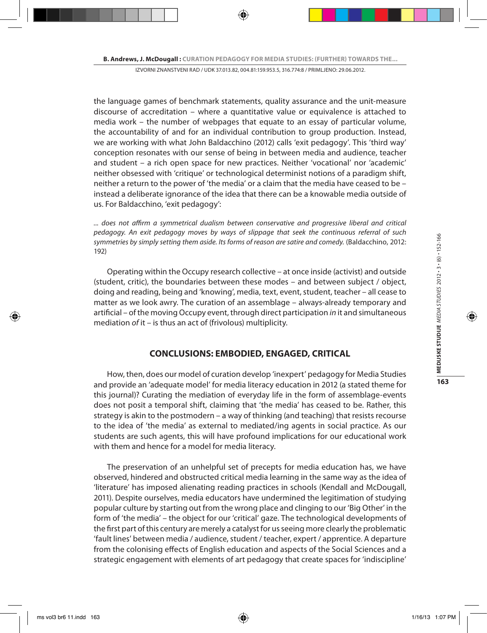the language games of benchmark statements, quality assurance and the unit-measure discourse of accreditation – where a quantitative value or equivalence is attached to media work – the number of webpages that equate to an essay of particular volume, the accountability of and for an individual contribution to group production. Instead, we are working with what John Baldacchino (2012) calls 'exit pedagogy'. This 'third way' conception resonates with our sense of being in between media and audience, teacher and student – a rich open space for new practices. Neither 'vocational' nor 'academic' neither obsessed with 'critique' or technological determinist notions of a paradigm shift, neither a return to the power of 'the media' or a claim that the media have ceased to be – instead a deliberate ignorance of the idea that there can be a knowable media outside of us. For Baldacchino, 'exit pedagogy':

*... does not affirm a symmetrical dualism between conservative and progressive liberal and critical pedagogy. An exit pedagogy moves by ways of slippage that seek the continuous referral of such symmetries by simply setting them aside. Its forms of reason are satire and comedy.* (Baldacchino, 2012: 192)

Operating within the Occupy research collective – at once inside (activist) and outside (student, critic), the boundaries between these modes – and between subject / object, doing and reading, being and 'knowing', media, text, event, student, teacher – all cease to matter as we look awry. The curation of an assemblage – always-already temporary and artificial – of the moving Occupy event, through direct participation *in* it and simultaneous mediation *of* it – is thus an act of (frivolous) multiplicity.

## **CONCLUSIONS: EMBODIED, ENGAGED, CRITICAL**

How, then, does our model of curation develop 'inexpert' pedagogy for Media Studies and provide an 'adequate model' for media literacy education in 2012 (a stated theme for this journal)? Curating the mediation of everyday life in the form of assemblage-events does not posit a temporal shift, claiming that 'the media' has ceased to be. Rather, this strategy is akin to the postmodern – a way of thinking (and teaching) that resists recourse to the idea of 'the media' as external to mediated/ing agents in social practice. As our students are such agents, this will have profound implications for our educational work with them and hence for a model for media literacy.

The preservation of an unhelpful set of precepts for media education has, we have observed, hindered and obstructed critical media learning in the same way as the idea of 'literature' has imposed alienating reading practices in schools (Kendall and McDougall, 2011). Despite ourselves, media educators have undermined the legitimation of studying popular culture by starting out from the wrong place and clinging to our 'Big Other' in the form of 'the media' – the object for our 'critical' gaze. The technological developments of the first part of this century are merely a catalyst for us seeing more clearly the problematic 'fault lines' between media / audience, student / teacher, expert / apprentice. A departure from the colonising effects of English education and aspects of the Social Sciences and a strategic engagement with elements of art pedagogy that create spaces for 'indiscipline'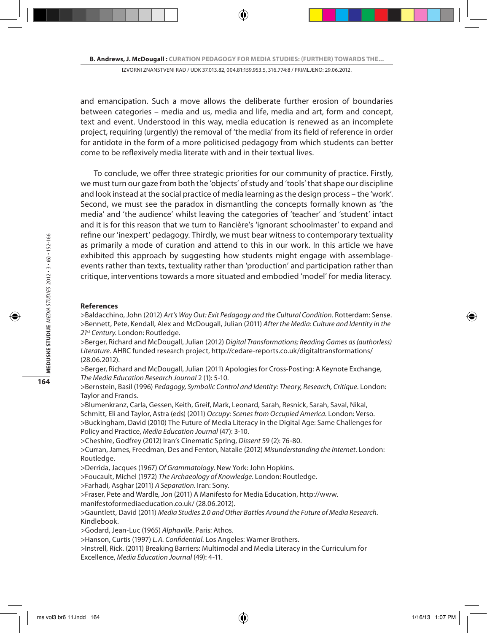and emancipation. Such a move allows the deliberate further erosion of boundaries between categories – media and us, media and life, media and art, form and concept, text and event. Understood in this way, media education is renewed as an incomplete project, requiring (urgently) the removal of 'the media' from its field of reference in order for antidote in the form of a more politicised pedagogy from which students can better come to be reflexively media literate with and in their textual lives.

To conclude, we offer three strategic priorities for our community of practice. Firstly, we must turn our gaze from both the 'objects' of study and 'tools' that shape our discipline and look instead at the social practice of media learning as the design process – the 'work'. Second, we must see the paradox in dismantling the concepts formally known as 'the media' and 'the audience' whilst leaving the categories of 'teacher' and 'student' intact and it is for this reason that we turn to Rancière's 'ignorant schoolmaster' to expand and refine our 'inexpert' pedagogy. Thirdly, we must bear witness to contemporary textuality as primarily a mode of curation and attend to this in our work. In this article we have exhibited this approach by suggesting how students might engage with assemblageevents rather than texts, textuality rather than 'production' and participation rather than critique, interventions towards a more situated and embodied 'model' for media literacy.

#### **References**

>Baldacchino, John (2012) *Art's Way Out: Exit Pedagogy and the Cultural Condition*. Rotterdam: Sense. >Bennett, Pete, Kendall, Alex and McDougall, Julian (2011) *After the Media: Culture and Identity in the 21st Century*. London: Routledge.

>Berger, Richard and McDougall, Julian (2012) *Digital Transformations; Reading Games as (authorless) Literature.* AHRC funded research project, http://cedare-reports.co.uk/digitaltransformations/ (28.06.2012).

>Berger, Richard and McDougall, Julian (2011) Apologies for Cross-Posting: A Keynote Exchange, *The Media Education Research Journal* 2 (1): 5-10.

>Bernstein, Basil (1996) *Pedagogy, Symbolic Control and Identity: Theory, Research, Critique*. London: Taylor and Francis.

>Blumenkranz, Carla, Gessen, Keith, Greif, Mark, Leonard, Sarah, Resnick, Sarah, Saval, Nikal, Schmitt, Eli and Taylor, Astra (eds) (2011) *Occupy: Scenes from Occupied America*. London: Verso. >Buckingham, David (2010) The Future of Media Literacy in the Digital Age: Same Challenges for Policy and Practice, *Media Education Journal* (47): 3-10.

>Cheshire, Godfrey (2012) Iran's Cinematic Spring, *Dissent* 59 (2): 76-80.

>Curran, James, Freedman, Des and Fenton, Natalie (2012) *Misunderstanding the Internet*. London: Routledge.

>Derrida, Jacques (1967) *Of Grammatology*. New York: John Hopkins.

>Foucault, Michel (1972) *The Archaeology of Knowledge*. London: Routledge.

>Farhadi, Asghar (2011) *A Separation*. Iran: Sony.

>Fraser, Pete and Wardle, Jon (2011) A Manifesto for Media Education, http://www. manifestoformediaeducation.co.uk/ (28.06.2012).

>Gauntlett, David (2011) *Media Studies 2.0 and Other Battles Around the Future of Media Research*. Kindlebook.

>Godard, Jean-Luc (1965) *Alphaville*. Paris: Athos.

>Hanson, Curtis (1997) *L.A. Confidential*. Los Angeles: Warner Brothers.

>Instrell, Rick. (2011) Breaking Barriers: Multimodal and Media Literacy in the Curriculum for Excellence, *Media Education Journal* (49): 4-11.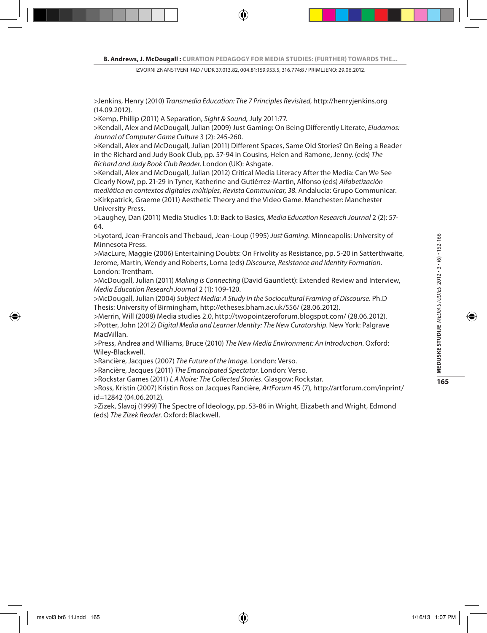>Jenkins, Henry (2010) *Transmedia Education: The 7 Principles Revisited*, http://henryjenkins.org (14.09.2012).

>Kemp, Phillip (2011) A Separation, *Sight & Sound,* July 2011:77.

>Kendall, Alex and McDougall, Julian (2009) Just Gaming: On Being Differently Literate, *Eludamos: Journal of Computer Game Culture* 3 (2): 245-260.

>Kendall, Alex and McDougall, Julian (2011) Different Spaces, Same Old Stories? On Being a Reader in the Richard and Judy Book Club, pp. 57-94 in Cousins, Helen and Ramone, Jenny. (eds) *The Richard and Judy Book Club Reader*. London (UK): Ashgate.

>Kendall, Alex and McDougall, Julian (2012) Critical Media Literacy After the Media: Can We See Clearly Now?, pp. 21-29 in Tyner, Katherine and Gutiérrez-Martin, Alfonso (eds) *Alfabetización mediática en contextos digitales múltiples, Revista Communicar, 38.* Andalucia: Grupo Communicar. >Kirkpatrick, Graeme (2011) Aesthetic Theory and the Video Game. Manchester: Manchester University Press.

>Laughey, Dan (2011) Media Studies 1.0: Back to Basics, *Media Education Research Journal* 2 (2): 57- 64.

>Lyotard, Jean-Francois and Thebaud, Jean-Loup (1995) *Just Gaming.* Minneapolis: University of Minnesota Press.

>MacLure, Maggie (2006) Entertaining Doubts: On Frivolity as Resistance, pp. 5-20 in Satterthwaite, Jerome, Martin, Wendy and Roberts, Lorna (eds) *Discourse, Resistance and Identity Formation*. London: Trentham.

>McDougall, Julian (2011) *Making is Connecting* (David Gauntlett): Extended Review and Interview, *Media Education Research Journal* 2 (1): 109-120.

>McDougall, Julian (2004) *Subject Media: A Study in the Sociocultural Framing of Discourse*. Ph.D Thesis: University of Birmingham, http://etheses.bham.ac.uk/556/ (28.06.2012).

>Merrin, Will (2008) Media studies 2.0, http://twopointzeroforum.blogspot.com/ (28.06.2012). >Potter, John (2012) *Digital Media and Learner Identity: The New Curatorship*. New York: Palgrave MacMillan.

>Press, Andrea and Williams, Bruce (2010) *The New Media Environment: An Introduction*. Oxford: Wiley-Blackwell.

>Rancière, Jacques (2007) *The Future of the Image*. London: Verso.

>Rancière, Jacques (2011) *The Emancipated Spectator*. London: Verso.

>Rockstar Games (2011) *L A Noire: The Collected Stories*. Glasgow: Rockstar.

>Ross, Kristin (2007) Kristin Ross on Jacques Rancière, *ArtForum* 45 (7), http://artforum.com/inprint/ id=12842 (04.06.2012).

>Zizek, Slavoj (1999) The Spectre of Ideology, pp. 53-86 in Wright, Elizabeth and Wright, Edmond (eds) *The Zizek Reader*. Oxford: Blackwell.